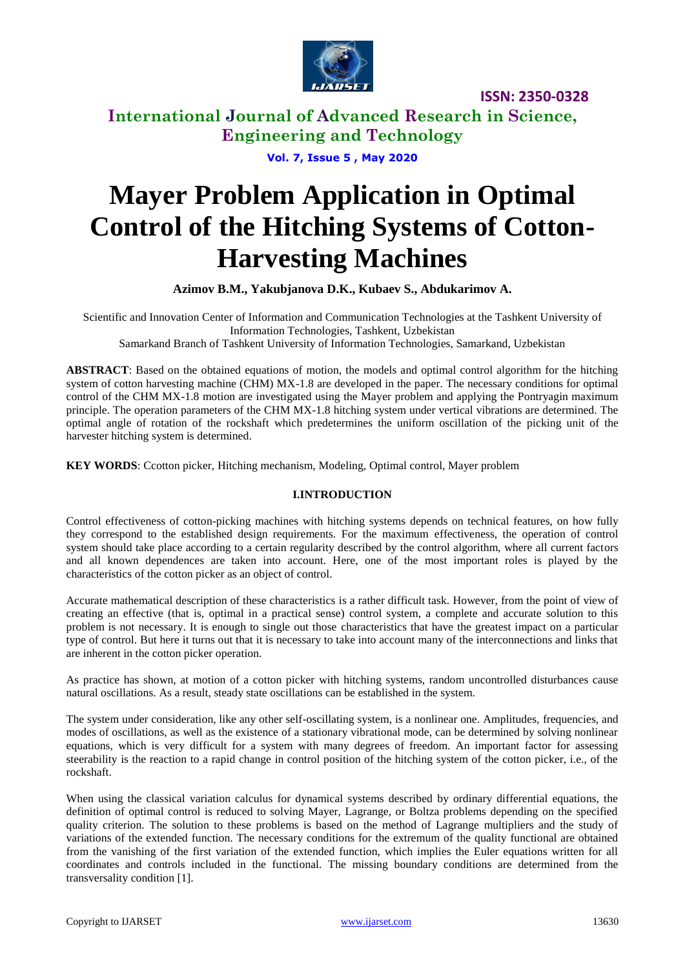

# **International Journal of Advanced Research in Science, Engineering and Technology**

**Vol. 7, Issue 5 , May 2020**

# **Mayer Problem Application in Optimal Control of the Hitching Systems of Cotton-Harvesting Machines**

**Azimov B.M., Yakubjanova D.K., Kubaev S., Abdukarimov A.**

Scientific and Innovation Center of Information and Communication Technologies at the Tashkent University of Information Technologies, Tashkent, Uzbekistan Samarkand Branch of Tashkent University of Information Technologies, Samarkand, Uzbekistan

**ABSTRACT**: Based on the obtained equations of motion, the models and optimal control algorithm for the hitching system of cotton harvesting machine (CHM) MX-1.8 are developed in the paper. The necessary conditions for optimal control of the CHM MX-1.8 motion are investigated using the Mayer problem and applying the Pontryagin maximum principle. The operation parameters of the CHM MX-1.8 hitching system under vertical vibrations are determined. The optimal angle of rotation of the rockshaft which predetermines the uniform oscillation of the picking unit of the harvester hitching system is determined.

**KEY WORDS**: Ccotton picker, Hitching mechanism, Modeling, Optimal control, Mayer problem

## **I.INTRODUCTION**

Control effectiveness of cotton-picking machines with hitching systems depends on technical features, on how fully they correspond to the established design requirements. For the maximum effectiveness, the operation of control system should take place according to a certain regularity described by the control algorithm, where all current factors and all known dependences are taken into account. Here, one of the most important roles is played by the characteristics of the cotton picker as an object of control.

Accurate mathematical description of these characteristics is a rather difficult task. However, from the point of view of creating an effective (that is, optimal in a practical sense) control system, a complete and accurate solution to this problem is not necessary. It is enough to single out those characteristics that have the greatest impact on a particular type of control. But here it turns out that it is necessary to take into account many of the interconnections and links that are inherent in the cotton picker operation.

As practice has shown, at motion of a cotton picker with hitching systems, random uncontrolled disturbances cause natural oscillations. As a result, steady state oscillations can be established in the system.

The system under consideration, like any other self-oscillating system, is a nonlinear one. Amplitudes, frequencies, and modes of oscillations, as well as the existence of a stationary vibrational mode, can be determined by solving nonlinear equations, which is very difficult for a system with many degrees of freedom. An important factor for assessing steerability is the reaction to a rapid change in control position of the hitching system of the cotton picker, i.e., of the rockshaft.

When using the classical variation calculus for dynamical systems described by ordinary differential equations, the definition of optimal control is reduced to solving Mayer, Lagrange, or Boltza problems depending on the specified quality criterion. The solution to these problems is based on the method of Lagrange multipliers and the study of variations of the extended function. The necessary conditions for the extremum of the quality functional are obtained from the vanishing of the first variation of the extended function, which implies the Euler equations written for all coordinates and controls included in the functional. The missing boundary conditions are determined from the transversality condition [1].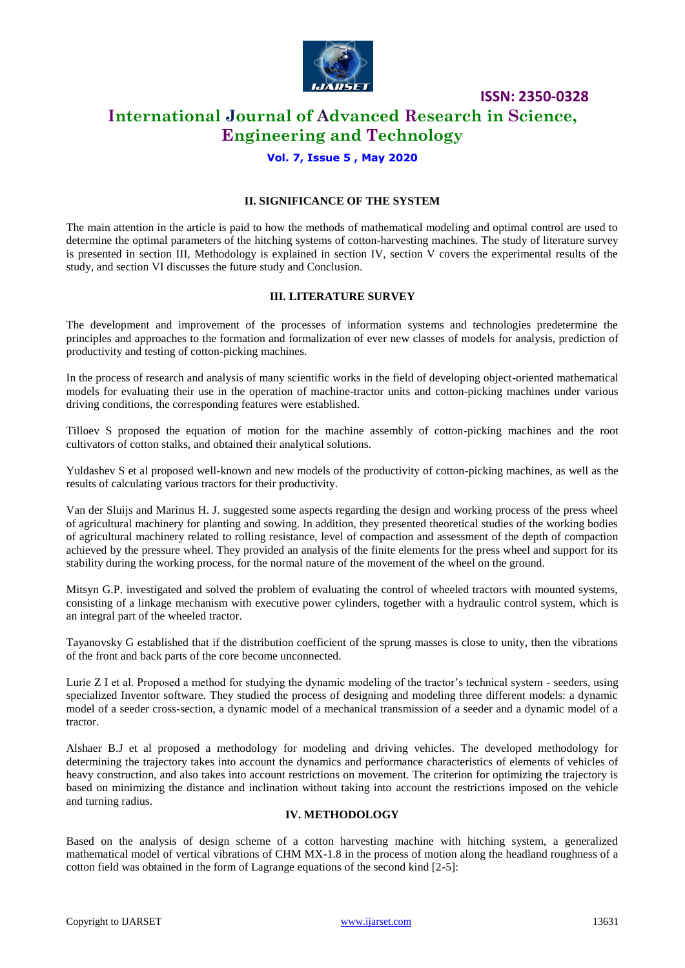

# **International Journal of Advanced Research in Science, Engineering and Technology**

## **Vol. 7, Issue 5 , May 2020**

## **II. SIGNIFICANCE OF THE SYSTEM**

The main attention in the article is paid to how the methods of mathematical modeling and optimal control are used to determine the optimal parameters of the hitching systems of cotton-harvesting machines. The study of literature survey is presented in section III, Methodology is explained in section IV, section V covers the experimental results of the study, and section VI discusses the future study and Conclusion.

### **III. LITERATURE SURVEY**

The development and improvement of the processes of information systems and technologies predetermine the principles and approaches to the formation and formalization of ever new classes of models for analysis, prediction of productivity and testing of cotton-picking machines.

In the process of research and analysis of many scientific works in the field of developing object-oriented mathematical models for evaluating their use in the operation of machine-tractor units and cotton-picking machines under various driving conditions, the corresponding features were established.

Tilloev S proposed the equation of motion for the machine assembly of cotton-picking machines and the root cultivators of cotton stalks, and obtained their analytical solutions.

Yuldashev S et al proposed well-known and new models of the productivity of cotton-picking machines, as well as the results of calculating various tractors for their productivity.

Van der Sluijs and Marinus H. J. suggested some aspects regarding the design and working process of the press wheel of agricultural machinery for planting and sowing. In addition, they presented theoretical studies of the working bodies of agricultural machinery related to rolling resistance, level of compaction and assessment of the depth of compaction achieved by the pressure wheel. They provided an analysis of the finite elements for the press wheel and support for its stability during the working process, for the normal nature of the movement of the wheel on the ground.

Mitsyn G.P. investigated and solved the problem of evaluating the control of wheeled tractors with mounted systems, consisting of a linkage mechanism with executive power cylinders, together with a hydraulic control system, which is an integral part of the wheeled tractor.

Tayanovsky G established that if the distribution coefficient of the sprung masses is close to unity, then the vibrations of the front and back parts of the core become unconnected.

Lurie Z I et al. Proposed a method for studying the dynamic modeling of the tractor's technical system - seeders, using specialized Inventor software. They studied the process of designing and modeling three different models: a dynamic model of a seeder cross-section, a dynamic model of a mechanical transmission of a seeder and a dynamic model of a tractor.

Alshaer B.J et al proposed a methodology for modeling and driving vehicles. The developed methodology for determining the trajectory takes into account the dynamics and performance characteristics of elements of vehicles of heavy construction, and also takes into account restrictions on movement. The criterion for optimizing the trajectory is based on minimizing the distance and inclination without taking into account the restrictions imposed on the vehicle and turning radius.

### **IV. METHODOLOGY**

Based on the analysis of design scheme of a cotton harvesting machine with hitching system, a generalized mathematical model of vertical vibrations of CHM MX-1.8 in the process of motion along the headland roughness of a cotton field was obtained in the form of Lagrange equations of the second kind [2-5]: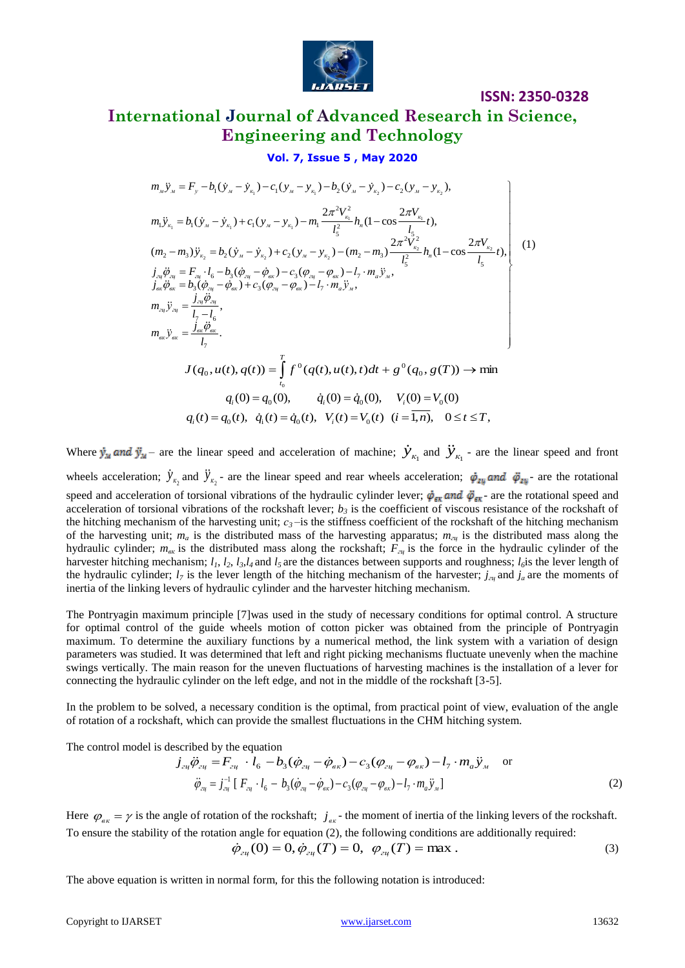

# **International Journal of Advanced Research in Science, Engineering and Technology**

**ISSN: 2350-0328**

### **Vol. 7, Issue 5 , May 2020**

$$
Vol. 7, Issue 5, May 2020
$$
\n
$$
m_{x} \ddot{y}_{x} = F_{y} - b_{1}(\dot{y}_{x} - \dot{y}_{x_{1}}) - c_{1}(y_{x} - y_{x_{1}}) - b_{2}(\dot{y}_{x} - \dot{y}_{x_{2}}) - c_{2}(y_{x} - y_{x_{2}}),
$$
\n
$$
m_{1} \ddot{y}_{x_{1}} = b_{1}(\dot{y}_{x} - \dot{y}_{x_{1}}) + c_{1}(y_{x} - y_{x_{1}}) - m_{1} \frac{2\pi^{2}V_{x_{1}}^{2}}{l_{5}^{2}} h_{n} (1 - \cos \frac{2\pi V_{x_{1}}}{l_{5}} t),
$$
\n
$$
(m_{2} - m_{3}) \ddot{y}_{x_{2}} = b_{2}(\dot{y}_{x} - \dot{y}_{x_{2}}) + c_{2}(y_{x} - y_{x_{2}}) - (m_{2} - m_{3}) \frac{2\pi^{2}V_{x_{2}}^{2}}{l_{5}^{2}} h_{n} (1 - \cos \frac{2\pi V_{x_{2}}}{l_{5}} t),
$$
\n
$$
j_{x_{1}} \ddot{\theta}_{x_{2}} = F_{x_{1}} \cdot l_{6} - b_{3}(\dot{\theta}_{x_{1}} - \dot{\theta}_{x_{2}}) - c_{3}(\phi_{x_{1}} - \phi_{x_{2}}) - l_{7} \cdot m_{a} \ddot{y}_{x_{3}},
$$
\n
$$
m_{x_{1}} \ddot{y}_{x_{1}} = \frac{j_{x_{1}} \ddot{\theta}_{x_{1}}}{l_{7} - l_{6}},
$$
\n
$$
m_{x_{1}} \ddot{y}_{x_{2}} = \frac{j_{x_{1}} \ddot{\theta}_{x_{2}}}{l_{7}},
$$
\n
$$
J(q_{0}, u(t), q(t)) = \int_{t_{0}}^{T} f^{0}(q(t), u(t), t) dt + g^{0}(q_{0}, g(T)) \rightarrow \min q_{i}(0) = q_{0}(0), \quad \dot{q}_{i}(0) = \dot{q}_{0}(0), \quad V_{i}(0) = V_{0}(0)
$$
\n
$$
q_{i}(t) = q_{0}(t), \quad \dot{q}_{i}(t) = \dot{q}_{0}(t), \quad V_{i}(t) = V_{0}(
$$

Where  $\dot{y}_M$  and  $\ddot{y}_M$  – are the linear speed and acceleration of machine;  $\dot{y}_{k_1}$  and  $\ddot{y}_{k_1}$  - are the linear speed and front wheels acceleration;  $\dot{y}_{k_2}$  and  $\ddot{y}_{k_2}$  - are the linear speed and rear wheels acceleration;  $\dot{\varphi}_{zy}$  and  $\ddot{\varphi}_{zy}$  are the rotational speed and acceleration of torsional vibrations of the hydraulic cylinder lever;  $\dot{\varphi}_{\text{ex}}$  and  $\ddot{\varphi}_{\text{ex}}$  are the rotational speed and acceleration of torsional vibrations of the rockshaft lever;  $b<sub>3</sub>$  is the coefficient of viscous resistance of the rockshaft of the hitching mechanism of the harvesting unit;  $c_3$ —is the stiffness coefficient of the rockshaft of the hitching mechanism of the harvesting unit; *m<sup>а</sup>* is the distributed mass of the harvesting apparatus; *mгц* is the distributed mass along the hydraulic cylinder;  $m_{\text{g}k}$  is the distributed mass along the rockshaft;  $F_{\text{g}k}$  is the force in the hydraulic cylinder of the harvester hitching mechanism;  $l_1$ ,  $l_2$ ,  $l_3$ , $l_4$  and  $l_5$  are the distances between supports and roughness;  $l_6$  is the lever length of the hydraulic cylinder;  $l_7$  is the lever length of the hitching mechanism of the harvester;  $j_{z}$  and  $j_a$  are the moments of inertia of the linking levers of hydraulic cylinder and the harvester hitching mechanism.

The Pontryagin maximum principle [7]was used in the study of necessary conditions for optimal control. A structure for optimal control of the guide wheels motion of cotton picker was obtained from the principle of Pontryagin maximum. To determine the auxiliary functions by a numerical method, the link system with a variation of design parameters was studied. It was determined that left and right picking mechanisms fluctuate unevenly when the machine swings vertically. The main reason for the uneven fluctuations of harvesting machines is the installation of a lever for connecting the hydraulic cylinder on the left edge, and not in the middle of the rockshaft [3-5].

In the problem to be solved, a necessary condition is the optimal, from practical point of view, evaluation of the angle of rotation of a rockshaft, which can provide the smallest fluctuations in the CHM hitching system.

The control model is described by the equation

escribed by the equation  
\n
$$
j_{z_{4}}\ddot{\varphi}_{z_{4}} = F_{z_{4}} \cdot l_{6} - b_{3}(\dot{\varphi}_{z_{4}} - \dot{\varphi}_{s_{K}}) - c_{3}(\varphi_{z_{4}} - \varphi_{s_{K}}) - l_{7} \cdot m_{a} \ddot{y}_{M} \text{ or}
$$
\n
$$
\ddot{\varphi}_{z_{4}} = j_{z_{4}}^{-1} [F_{z_{4}} \cdot l_{6} - b_{3}(\dot{\varphi}_{z_{4}} - \dot{\varphi}_{s_{K}}) - c_{3}(\varphi_{z_{4}} - \varphi_{s_{K}}) - l_{7} \cdot m_{a} \ddot{y}_{M}]
$$
\n(2)

Here  $\varphi_{\theta\kappa} = \gamma$  is the angle of rotation of the rockshaft;  $j_{\theta\kappa}$  - the moment of inertia of the linking levers of the rockshaft. To ensure the stability of the rotation angle for equation (2), the following conditions are additionally required:

$$
\dot{\varphi}_{2u}(0) = 0, \dot{\varphi}_{2u}(T) = 0, \ \varphi_{2u}(T) = \max . \tag{3}
$$

The above equation is written in normal form, for this the following notation is introduced: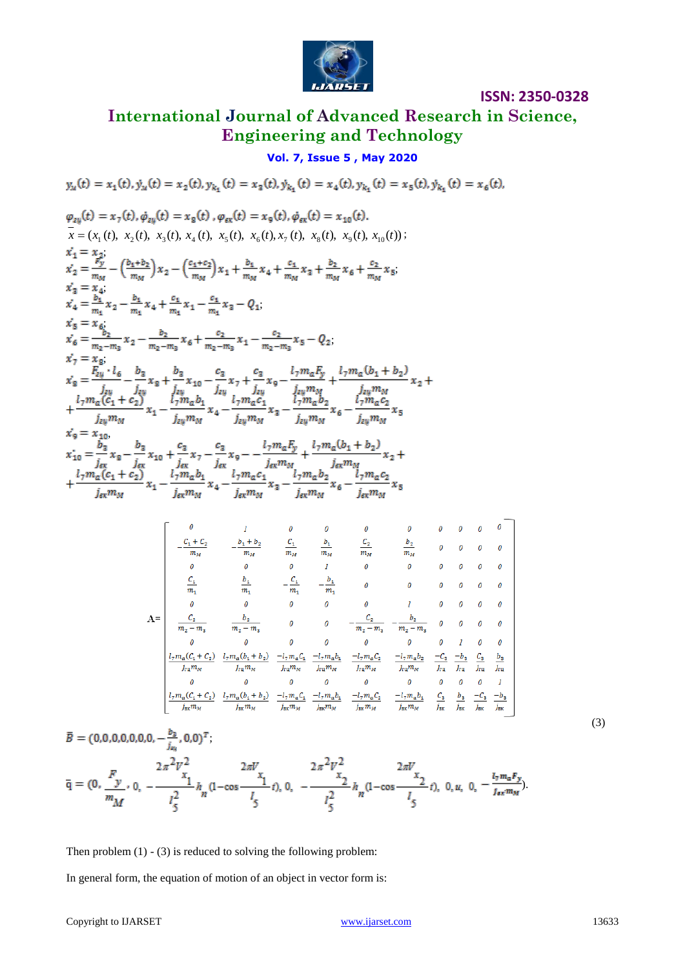

# **International Journal of Advanced Research in Science, Engineering and Technology**

# **Vol. 7, Issue 5 , May 2020**

Copyright to IJARSET [www.ijarset.com](http://www.ijarset.com/) 13633 ( ( ), ( ), ( ), ( ), ( ), ( ), ( ), ( ), ( ), ( )) 1 2 3 4 5 6 7 8 9 10 *x x t x t x t x t x t x t x t x t x t x t* ; ; ; ; ; ; ; ;

$$
x_{9} = x_{10},
$$
  
\n
$$
x_{10} = \frac{b_{3}}{j_{ex}} x_{8} - \frac{b_{3}}{j_{ex}} x_{10} + \frac{c_{3}}{j_{ex}} x_{7} - \frac{c_{3}}{j_{ex}} x_{9} - \frac{l_{7} m_{a} F_{y}}{j_{ex} m_{M}} + \frac{l_{7} m_{a} (b_{1} + b_{2})}{j_{ex} m_{M}} x_{2} + \frac{l_{7} m_{a} (c_{1} + c_{2})}{j_{ex} m_{M}} x_{1} - \frac{l_{7} m_{a} b_{1}}{j_{ex} m_{M}} x_{4} - \frac{l_{7} m_{a} c_{1}}{j_{ex} m_{M}} x_{3} - \frac{l_{7} m_{a} b_{2}}{j_{ex} m_{M}} x_{6} - \frac{l_{7} m_{a} c_{2}}{j_{ex} m_{M}} x_{5}
$$

$$
\mathbf{A} = \begin{bmatrix}\n0 & 1 & 0 & 0 & 0 & 0 & 0 & 0 & 0 & 0 & 0 \\
-\frac{C_1 + C_2}{m_M} & -\frac{b_1 + b_2}{m_M} & \frac{C_1}{m_M} & \frac{b_1}{m_M} & \frac{C_2}{m_M} & \frac{b_2}{m_M} & 0 & 0 & 0 & 0 \\
0 & 0 & 0 & 1 & 0 & 0 & 0 & 0 & 0 & 0 \\
\frac{C_1}{m_1} & \frac{b_1}{m_1} & -\frac{C_1}{m_1} & -\frac{b_1}{m_1} & 0 & 0 & 0 & 0 & 0 & 0 \\
0 & 0 & 0 & 0 & 0 & 1 & 0 & 0 & 0 & 0 \\
\frac{C_2}{m_2 - m_2} & \frac{b_2}{m_2 - m_3} & 0 & 0 & -\frac{C_2}{m_2 - m_3} & -\frac{b_2}{m_2 - m_3} & 0 & 0 & 0 & 0 \\
0 & 0 & 0 & 0 & 0 & 0 & 0 & 0 & 0 & 0 \\
\frac{1}{m_1 m_M} & \frac{1}{m_1 m_M} & \frac{1}{m_1 m_M} & \frac{-1}{m_1 m_M} & \frac{-1}{m_1 m_M} & \frac{-1}{m_1 m_M} & \frac{-1}{m_1 m_M} & \frac{-1}{m_1} & \frac{1}{m_1} & \frac{1}{m_1} & \frac{1}{m_1} \\
0 & 0 & 0 & 0 & 0 & 0 & 0 & 0 & 0 & 0 & 1 \\
\frac{1}{m_1 m_M} & \frac{1}{m_1 m_M} & \frac{1}{m_1 m_M} & \frac{-1}{m_1 m_M} & \frac{-1}{m_1 m_M} & \frac{-1}{m_1 m_M} & \frac{-1}{m_1 m_M} & \frac{-1}{m_1} & \frac{1}{m_1} & \frac{1}{m_1} & \frac{1}{m_1} \\
0 & 0 & 0 & 0 & 0 & 0 & 0 & 0 & 0 & 0 & 1 \\
\frac{1}{m_2 m_M} & \frac{1}{m_2 m_M} & \frac{-1}{m_2 m_M} & \frac{-1}{m_2 m_M} & \frac{-1}{m_2 m_M} & \frac{-1}{m_2 m_M} & \frac{-1
$$

$$
\overline{B} = (0,0,0,0,0,0,0, -\frac{b_3}{j_{\omega_i}}, 0,0)^T;
$$
\n
$$
\overline{q} = (0, \frac{F}{m_M}, 0, -\frac{2\pi^2 V_{x_1}^2}{l_5^2} h_n (1 - \cos\frac{2\pi V_{x_1}}{l_5}t), 0, -\frac{2\pi^2 V_{x_2}^2}{l_5^2} h_n (1 - \cos\frac{2\pi V_{x_2}}{l_5}t), 0, u, 0, -\frac{l_7 m_a F_y}{l_5}).
$$
\n(3)

Then problem  $(1) - (3)$  is reduced to solving the following problem:

In general form, the equation of motion of an object in vector form is:

**ISSN: 2350-0328**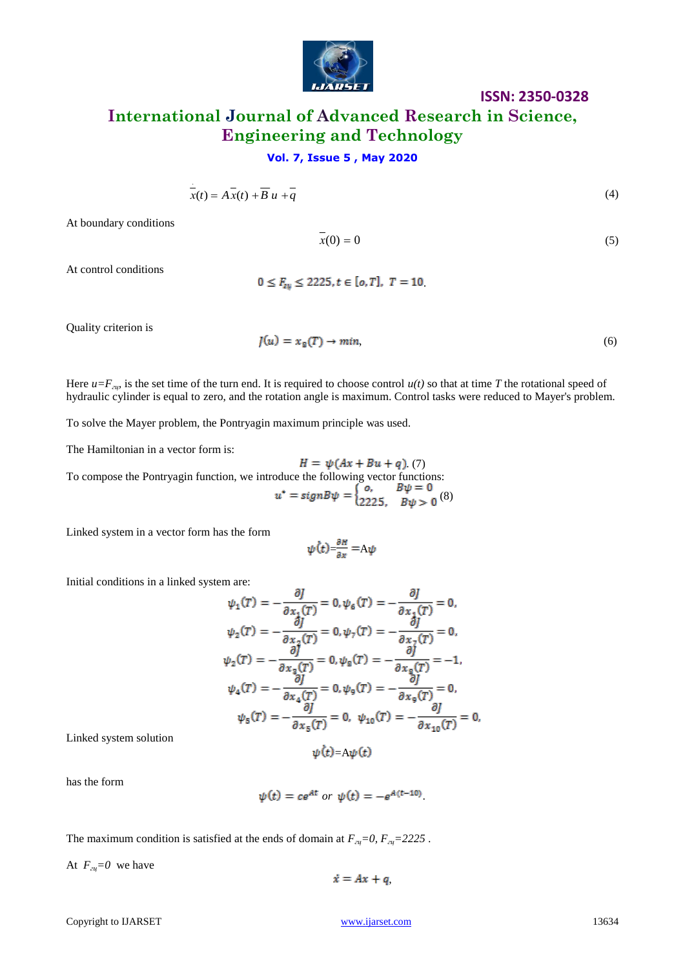

# **International Journal of Advanced Research in Science, Engineering and Technology**

## **Vol. 7, Issue 5 , May 2020**

$$
\overline{x}(t) = A\overline{x}(t) + \overline{B}u + \overline{q}
$$
\n(4)

At boundary conditions

$$
\overline{x}(0) = 0\tag{5}
$$

At control conditions

 $0 \le F_{\text{av}} \le 2225, t \in [0, T], T = 10.$ 

Quality criterion is

$$
J(u) = xg(T) \to min,
$$
\n(6)

 $\ddotsc$ 

Here  $u = F_{z\psi}$  is the set time of the turn end. It is required to choose control  $u(t)$  so that at time *T* the rotational speed of hydraulic cylinder is equal to zero, and the rotation angle is maximum. Control tasks were reduced to Mayer's problem.

To solve the Mayer problem, the Pontryagin maximum principle was used.

The Hamiltonian in a vector form is:

 $H = \psi(Ax + Bu + q)$ . (7) To compose the Pontryagin function, we introduce the following vector functions: (8)

Linked system in a vector form has the form

$$
\psi(t) = \frac{\partial H}{\partial x} = A\psi
$$

 $\overline{a}$ 

Initial conditions in a linked system are:

$$
\psi_1(T) = -\frac{\partial f}{\partial x_1(T)} = 0, \psi_6(T) = -\frac{\partial f}{\partial x_1(T)} = 0,
$$
  

$$
\psi_2(T) = -\frac{\partial f}{\partial x_2(T)} = 0, \psi_7(T) = -\frac{\partial f}{\partial x_7(T)} = 0,
$$
  

$$
\psi_2(T) = -\frac{\partial f}{\partial x_3(T)} = 0, \psi_8(T) = -\frac{\partial f}{\partial x_8(T)} = -1,
$$
  

$$
\psi_4(T) = -\frac{\partial f}{\partial x_4(T)} = 0, \psi_9(T) = -\frac{\partial f}{\partial x_9(T)} = 0,
$$
  

$$
\psi_5(T) = -\frac{\partial f}{\partial x_5(T)} = 0, \psi_{10}(T) = -\frac{\partial f}{\partial x_{10}(T)} = 0,
$$

Linked system solution

$$
\psi(t) = A\psi(t)
$$

has the form

$$
\psi(t) = c e^{At} \text{ or } \psi(t) = -e^{A(t-10)}.
$$

The maximum condition is satisfied at the ends of domain at *Fгц=0, Fгц=2225* .

At  $F_{\alpha} = 0$  we have

$$
\dot{x}=Ax+q,
$$

Copyright to IJARSET [www.ijarset.com](http://www.ijarset.com/) 213634